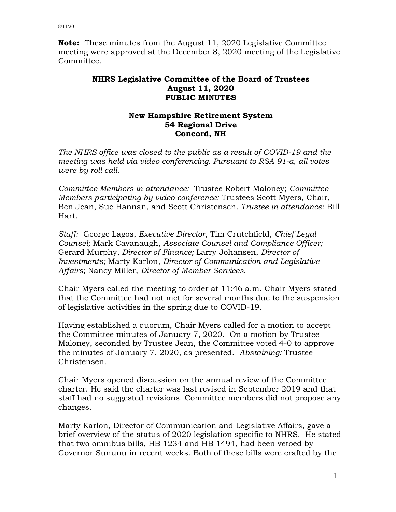**Note:** These minutes from the August 11, 2020 Legislative Committee meeting were approved at the December 8, 2020 meeting of the Legislative Committee.

## **NHRS Legislative Committee of the Board of Trustees August 11, 2020 PUBLIC MINUTES**

## **New Hampshire Retirement System 54 Regional Drive Concord, NH**

*The NHRS office was closed to the public as a result of COVID-19 and the meeting was held via video conferencing. Pursuant to RSA 91-a, all votes were by roll call.*

*Committee Members in attendance:* Trustee Robert Maloney; *Committee Members participating by video-conference:* Trustees Scott Myers, Chair, Ben Jean, Sue Hannan, and Scott Christensen. *Trustee in attendance:* Bill Hart.

*Staff:* George Lagos, *Executive Director*, Tim Crutchfield, *Chief Legal Counsel;* Mark Cavanaugh, *Associate Counsel and Compliance Officer;* Gerard Murphy, *Director of Finance;* Larry Johansen, *Director of Investments;* Marty Karlon, *Director of Communication and Legislative Affairs*; Nancy Miller, *Director of Member Services*.

Chair Myers called the meeting to order at 11:46 a.m. Chair Myers stated that the Committee had not met for several months due to the suspension of legislative activities in the spring due to COVID-19.

Having established a quorum, Chair Myers called for a motion to accept the Committee minutes of January 7, 2020. On a motion by Trustee Maloney, seconded by Trustee Jean, the Committee voted 4-0 to approve the minutes of January 7, 2020, as presented. *Abstaining:* Trustee Christensen.

Chair Myers opened discussion on the annual review of the Committee charter. He said the charter was last revised in September 2019 and that staff had no suggested revisions. Committee members did not propose any changes.

Marty Karlon, Director of Communication and Legislative Affairs, gave a brief overview of the status of 2020 legislation specific to NHRS. He stated that two omnibus bills, HB 1234 and HB 1494, had been vetoed by Governor Sununu in recent weeks. Both of these bills were crafted by the